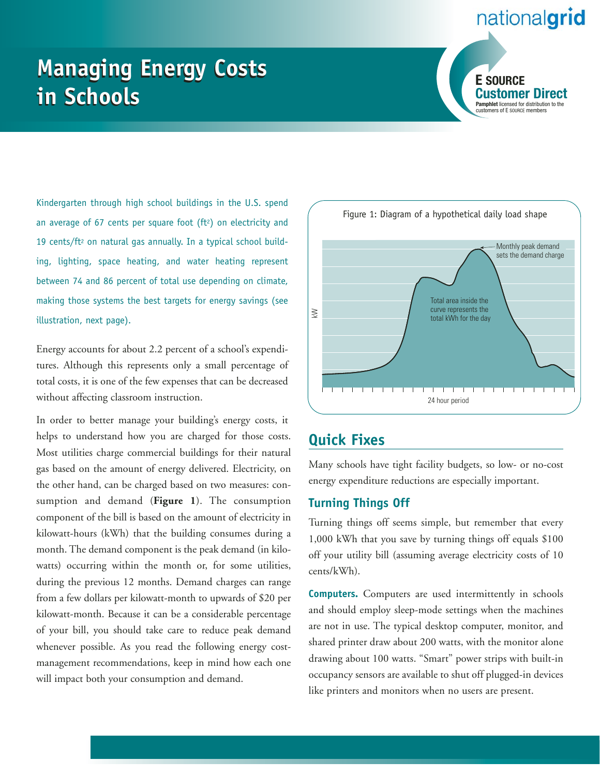## nationalgrid

# **Managing Energy Costs Managing Energy Costs in Schools in Schools**



Kindergarten through high school buildings in the U.S. spend an average of 67 cents per square foot (ft<sup>2</sup>) on electricity and 19 cents/ft<sup>2</sup> on natural gas annually. In a typical school building, lighting, space heating, and water heating represent between 74 and 86 percent of total use depending on climate, making those systems the best targets for energy savings (see illustration, next page).

Energy accounts for about 2.2 percent of a school's expenditures. Although this represents only a small percentage of total costs, it is one of the few expenses that can be decreased without affecting classroom instruction.

In order to better manage your building's energy costs, it helps to understand how you are charged for those costs. Most utilities charge commercial buildings for their natural gas based on the amount of energy delivered. Electricity, on the other hand, can be charged based on two measures: consumption and demand (**Figure 1**). The consumption component of the bill is based on the amount of electricity in kilowatt-hours (kWh) that the building consumes during a month. The demand component is the peak demand (in kilowatts) occurring within the month or, for some utilities, during the previous 12 months. Demand charges can range from a few dollars per kilowatt-month to upwards of \$20 per kilowatt-month. Because it can be a considerable percentage of your bill, you should take care to reduce peak demand whenever possible. As you read the following energy costmanagement recommendations, keep in mind how each one will impact both your consumption and demand.



## **Quick Fixes**

Many schools have tight facility budgets, so low- or no-cost energy expenditure reductions are especially important.

#### **Turning Things Off**

Turning things off seems simple, but remember that every 1,000 kWh that you save by turning things off equals \$100 off your utility bill (assuming average electricity costs of 10 cents/kWh).

**Computers.** Computers are used intermittently in schools and should employ sleep-mode settings when the machines are not in use. The typical desktop computer, monitor, and shared printer draw about 200 watts, with the monitor alone drawing about 100 watts. "Smart" power strips with built-in occupancy sensors are available to shut off plugged-in devices like printers and monitors when no users are present.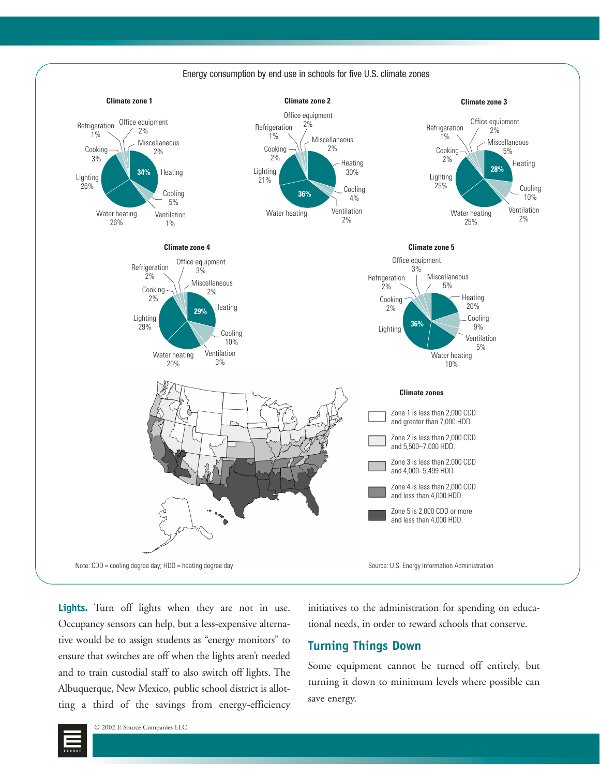

**Lights.** Turn off lights when they are not in use. Occupancy sensors can help, but a less-expensive alternative would be to assign students as "energy monitors" to ensure that switches are off when the lights aren't needed and to train custodial staff to also switch off lights. The Albuquerque, New Mexico, public school district is allotting a third of the savings from energy-efficiency initiatives to the administration for spending on educational needs, in order to reward schools that conserve.

#### **Turning Things Down**

Some equipment cannot be turned off entirely, but turning it down to minimum levels where possible can save energy.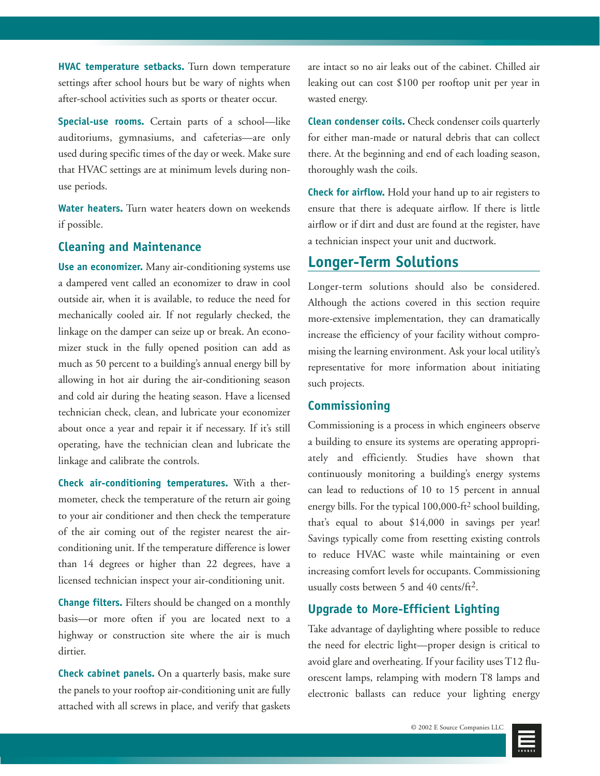**HVAC temperature setbacks.** Turn down temperature settings after school hours but be wary of nights when after-school activities such as sports or theater occur.

**Special-use rooms.** Certain parts of a school—like auditoriums, gymnasiums, and cafeterias—are only used during specific times of the day or week. Make sure that HVAC settings are at minimum levels during nonuse periods.

**Water heaters.** Turn water heaters down on weekends if possible.

#### **Cleaning and Maintenance**

**Use an economizer.** Many air-conditioning systems use a dampered vent called an economizer to draw in cool outside air, when it is available, to reduce the need for mechanically cooled air. If not regularly checked, the linkage on the damper can seize up or break. An economizer stuck in the fully opened position can add as much as 50 percent to a building's annual energy bill by allowing in hot air during the air-conditioning season and cold air during the heating season. Have a licensed technician check, clean, and lubricate your economizer about once a year and repair it if necessary. If it's still operating, have the technician clean and lubricate the linkage and calibrate the controls.

**Check air-conditioning temperatures.** With a thermometer, check the temperature of the return air going to your air conditioner and then check the temperature of the air coming out of the register nearest the airconditioning unit. If the temperature difference is lower than 14 degrees or higher than 22 degrees, have a licensed technician inspect your air-conditioning unit.

**Change filters.** Filters should be changed on a monthly basis—or more often if you are located next to a highway or construction site where the air is much dirtier.

**Check cabinet panels.** On a quarterly basis, make sure the panels to your rooftop air-conditioning unit are fully attached with all screws in place, and verify that gaskets are intact so no air leaks out of the cabinet. Chilled air leaking out can cost \$100 per rooftop unit per year in wasted energy.

**Clean condenser coils.** Check condenser coils quarterly for either man-made or natural debris that can collect there. At the beginning and end of each loading season, thoroughly wash the coils.

**Check for airflow.** Hold your hand up to air registers to ensure that there is adequate airflow. If there is little airflow or if dirt and dust are found at the register, have a technician inspect your unit and ductwork.

## **Longer-Term Solutions**

Longer-term solutions should also be considered. Although the actions covered in this section require more-extensive implementation, they can dramatically increase the efficiency of your facility without compromising the learning environment. Ask your local utility's representative for more information about initiating such projects.

#### **Commissioning**

Commissioning is a process in which engineers observe a building to ensure its systems are operating appropriately and efficiently. Studies have shown that continuously monitoring a building's energy systems can lead to reductions of 10 to 15 percent in annual energy bills. For the typical 100,000-ft<sup>2</sup> school building, that's equal to about \$14,000 in savings per year! Savings typically come from resetting existing controls to reduce HVAC waste while maintaining or even increasing comfort levels for occupants. Commissioning usually costs between 5 and 40 cents/ft2.

#### **Upgrade to More-Efficient Lighting**

Take advantage of daylighting where possible to reduce the need for electric light—proper design is critical to avoid glare and overheating. If your facility uses T12 fluorescent lamps, relamping with modern T8 lamps and electronic ballasts can reduce your lighting energy